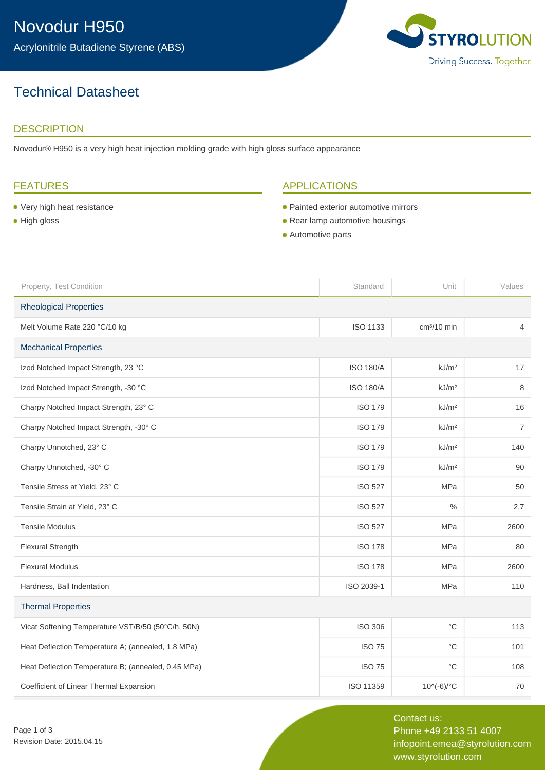# Technical Datasheet

### **DESCRIPTION**

Novodur® H950 is a very high heat injection molding grade with high gloss surface appearance

### FEATURES

- Very high heat resistance
- **High gloss**

### APPLICATIONS

- Painted exterior automotive mirrors
- Rear lamp automotive housings
- **Automotive parts**

| Property, Test Condition                            | Standard         | Unit              | Values         |
|-----------------------------------------------------|------------------|-------------------|----------------|
| <b>Rheological Properties</b>                       |                  |                   |                |
| Melt Volume Rate 220 °C/10 kg                       | <b>ISO 1133</b>  | $cm3/10$ min      | $\overline{4}$ |
| <b>Mechanical Properties</b>                        |                  |                   |                |
| Izod Notched Impact Strength, 23 °C                 | <b>ISO 180/A</b> | kJ/m <sup>2</sup> | 17             |
| Izod Notched Impact Strength, -30 °C                | <b>ISO 180/A</b> | kJ/m <sup>2</sup> | 8              |
| Charpy Notched Impact Strength, 23° C               | <b>ISO 179</b>   | kJ/m <sup>2</sup> | 16             |
| Charpy Notched Impact Strength, -30° C              | <b>ISO 179</b>   | kJ/m <sup>2</sup> | $\overline{7}$ |
| Charpy Unnotched, 23° C                             | <b>ISO 179</b>   | kJ/m <sup>2</sup> | 140            |
| Charpy Unnotched, -30° C                            | <b>ISO 179</b>   | kJ/m <sup>2</sup> | 90             |
| Tensile Stress at Yield, 23° C                      | <b>ISO 527</b>   | MPa               | 50             |
| Tensile Strain at Yield, 23° C                      | <b>ISO 527</b>   | $\frac{0}{0}$     | 2.7            |
| <b>Tensile Modulus</b>                              | <b>ISO 527</b>   | MPa               | 2600           |
| Flexural Strength                                   | <b>ISO 178</b>   | <b>MPa</b>        | 80             |
| <b>Flexural Modulus</b>                             | <b>ISO 178</b>   | MPa               | 2600           |
| Hardness, Ball Indentation                          | ISO 2039-1       | <b>MPa</b>        | 110            |
| <b>Thermal Properties</b>                           |                  |                   |                |
| Vicat Softening Temperature VST/B/50 (50°C/h, 50N)  | <b>ISO 306</b>   | $^{\circ}C$       | 113            |
| Heat Deflection Temperature A; (annealed, 1.8 MPa)  | <b>ISO 75</b>    | $^{\circ}C$       | 101            |
| Heat Deflection Temperature B; (annealed, 0.45 MPa) | <b>ISO 75</b>    | $^{\circ}$ C      | 108            |
| Coefficient of Linear Thermal Expansion             | ISO 11359        | 10^(-6)/°C        | 70             |

Page 1 of 3 Revision Date: 2015.04.15

Contact us: Phone +49 2133 51 4007 infopoint.emea@styrolution.com www.styrolution.com

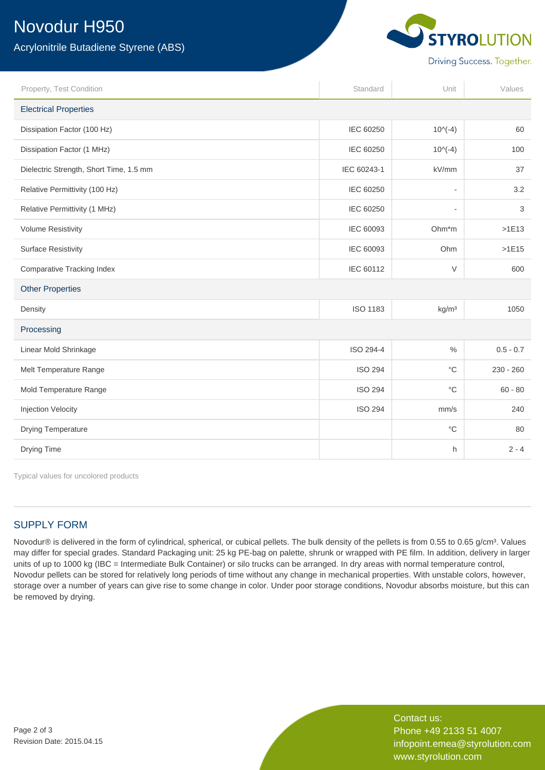# Novodur H950

Acrylonitrile Butadiene Styrene (ABS)



| Property, Test Condition                | Standard        | Unit                     | Values      |  |
|-----------------------------------------|-----------------|--------------------------|-------------|--|
| <b>Electrical Properties</b>            |                 |                          |             |  |
| Dissipation Factor (100 Hz)             | IEC 60250       | $10^(-4)$                | 60          |  |
| Dissipation Factor (1 MHz)              | IEC 60250       | $10^(-4)$                | 100         |  |
| Dielectric Strength, Short Time, 1.5 mm | IEC 60243-1     | kV/mm                    | 37          |  |
| Relative Permittivity (100 Hz)          | IEC 60250       | $\overline{\phantom{0}}$ | 3.2         |  |
| Relative Permittivity (1 MHz)           | IEC 60250       | ٠                        | 3           |  |
| <b>Volume Resistivity</b>               | IEC 60093       | Ohm*m                    | $>1E13$     |  |
| <b>Surface Resistivity</b>              | IEC 60093       | Ohm                      | $>1E15$     |  |
| <b>Comparative Tracking Index</b>       | IEC 60112       | $\vee$                   | 600         |  |
| <b>Other Properties</b>                 |                 |                          |             |  |
| Density                                 | <b>ISO 1183</b> | kg/m <sup>3</sup>        | 1050        |  |
| Processing                              |                 |                          |             |  |
| Linear Mold Shrinkage                   | ISO 294-4       | $\%$                     | $0.5 - 0.7$ |  |
| Melt Temperature Range                  | <b>ISO 294</b>  | $^{\circ}C$              | $230 - 260$ |  |
| Mold Temperature Range                  | <b>ISO 294</b>  | $^{\circ}C$              | $60 - 80$   |  |
| Injection Velocity                      | <b>ISO 294</b>  | mm/s                     | 240         |  |
| <b>Drying Temperature</b>               |                 | $^{\circ}{\rm C}$        | 80          |  |
| Drying Time                             |                 | h                        | $2 - 4$     |  |

Typical values for uncolored products

### SUPPLY FORM

Novodur® is delivered in the form of cylindrical, spherical, or cubical pellets. The bulk density of the pellets is from 0.55 to 0.65 g/cm<sup>3</sup>. Values may differ for special grades. Standard Packaging unit: 25 kg PE-bag on palette, shrunk or wrapped with PE film. In addition, delivery in larger units of up to 1000 kg (IBC = Intermediate Bulk Container) or silo trucks can be arranged. In dry areas with normal temperature control, Novodur pellets can be stored for relatively long periods of time without any change in mechanical properties. With unstable colors, however, storage over a number of years can give rise to some change in color. Under poor storage conditions, Novodur absorbs moisture, but this can be removed by drying.

Contact us: Phone +49 2133 51 4007 infopoint.emea@styrolution.com www.styrolution.com